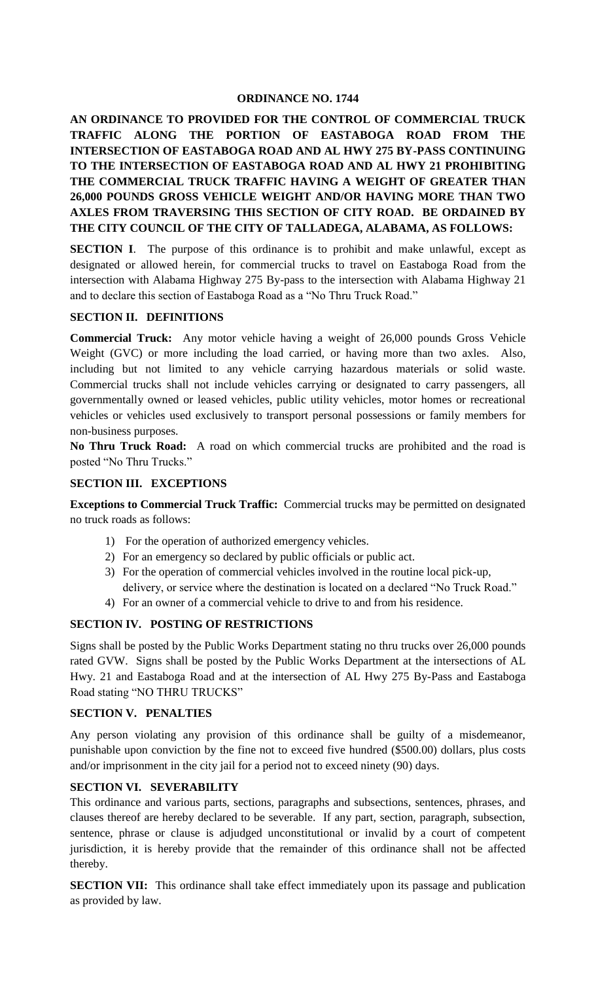### **ORDINANCE NO. 1744**

**AN ORDINANCE TO PROVIDED FOR THE CONTROL OF COMMERCIAL TRUCK TRAFFIC ALONG THE PORTION OF EASTABOGA ROAD FROM THE INTERSECTION OF EASTABOGA ROAD AND AL HWY 275 BY-PASS CONTINUING TO THE INTERSECTION OF EASTABOGA ROAD AND AL HWY 21 PROHIBITING THE COMMERCIAL TRUCK TRAFFIC HAVING A WEIGHT OF GREATER THAN 26,000 POUNDS GROSS VEHICLE WEIGHT AND/OR HAVING MORE THAN TWO AXLES FROM TRAVERSING THIS SECTION OF CITY ROAD. BE ORDAINED BY THE CITY COUNCIL OF THE CITY OF TALLADEGA, ALABAMA, AS FOLLOWS:**

**SECTION I**. The purpose of this ordinance is to prohibit and make unlawful, except as designated or allowed herein, for commercial trucks to travel on Eastaboga Road from the intersection with Alabama Highway 275 By-pass to the intersection with Alabama Highway 21 and to declare this section of Eastaboga Road as a "No Thru Truck Road."

## **SECTION II. DEFINITIONS**

**Commercial Truck:** Any motor vehicle having a weight of 26,000 pounds Gross Vehicle Weight (GVC) or more including the load carried, or having more than two axles. Also, including but not limited to any vehicle carrying hazardous materials or solid waste. Commercial trucks shall not include vehicles carrying or designated to carry passengers, all governmentally owned or leased vehicles, public utility vehicles, motor homes or recreational vehicles or vehicles used exclusively to transport personal possessions or family members for non-business purposes.

**No Thru Truck Road:** A road on which commercial trucks are prohibited and the road is posted "No Thru Trucks."

#### **SECTION III. EXCEPTIONS**

**Exceptions to Commercial Truck Traffic:** Commercial trucks may be permitted on designated no truck roads as follows:

- 1) For the operation of authorized emergency vehicles.
- 2) For an emergency so declared by public officials or public act.
- 3) For the operation of commercial vehicles involved in the routine local pick-up, delivery, or service where the destination is located on a declared "No Truck Road."
- 4) For an owner of a commercial vehicle to drive to and from his residence.

## **SECTION IV. POSTING OF RESTRICTIONS**

Signs shall be posted by the Public Works Department stating no thru trucks over 26,000 pounds rated GVW. Signs shall be posted by the Public Works Department at the intersections of AL Hwy. 21 and Eastaboga Road and at the intersection of AL Hwy 275 By-Pass and Eastaboga Road stating "NO THRU TRUCKS"

### **SECTION V. PENALTIES**

Any person violating any provision of this ordinance shall be guilty of a misdemeanor, punishable upon conviction by the fine not to exceed five hundred (\$500.00) dollars, plus costs and/or imprisonment in the city jail for a period not to exceed ninety (90) days.

# **SECTION VI. SEVERABILITY**

This ordinance and various parts, sections, paragraphs and subsections, sentences, phrases, and clauses thereof are hereby declared to be severable. If any part, section, paragraph, subsection, sentence, phrase or clause is adjudged unconstitutional or invalid by a court of competent jurisdiction, it is hereby provide that the remainder of this ordinance shall not be affected thereby.

**SECTION VII:** This ordinance shall take effect immediately upon its passage and publication as provided by law.